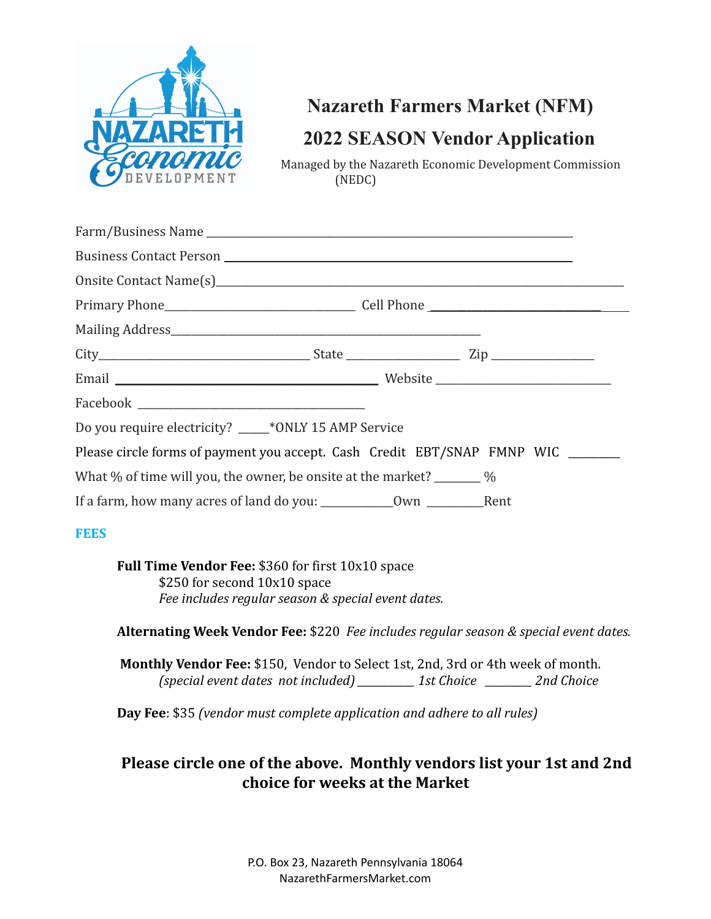

# **Nazareth Farmers Market (NFM) 2022 SEASON Vendor Application**

Managed by the Nazareth Economic Development Commission (NEDC)

| Do you require electricity? ____*ONLY 15 AMP Service                         |  |
|------------------------------------------------------------------------------|--|
| Please circle forms of payment you accept. Cash Credit EBT/SNAP FMNP WIC     |  |
| What % of time will you, the owner, be onsite at the market? $\frac{1}{2}$ % |  |
|                                                                              |  |

## **FEES**

**Full Time Vendor Fee:** \$360 for first 10x10 space \$250 for second 10x10 space *Fee includes regular season & special event dates.*

**Alternating Week Vendor Fee:** \$220 *Fee includes regular season & special event dates.*

**Monthly Vendor Fee:** \$150, Vendor to Select 1st, 2nd, 3rd or 4th week of month. *(special event dates not included) \_\_\_\_\_\_\_\_\_\_\_ 1st Choice \_\_\_\_\_\_\_\_\_ 2nd Choice*

**Day Fee**: \$35 *(vendor must complete application and adhere to all rules)*

# **Please circle one of the above. Monthly vendors list your 1st and 2nd choice for weeks at the Market**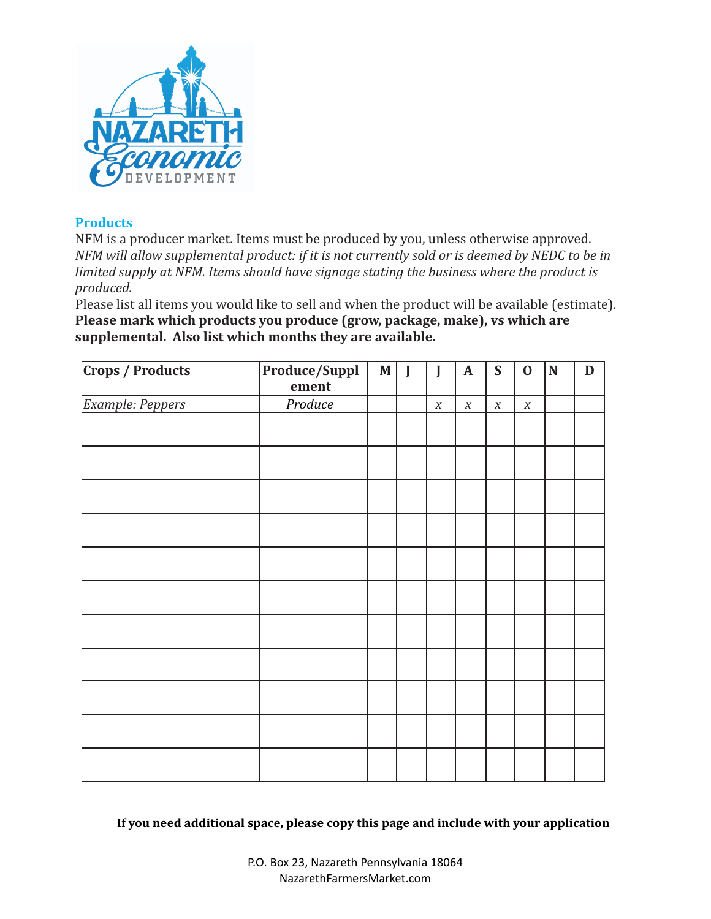

# **Products**

NFM is a producer market. Items must be produced by you, unless otherwise approved. *NFM will allow supplemental product: if it is not currently sold or is deemed by NEDC to be in limited supply at NFM. Items should have signage stating the business where the product is produced.*

Please list all items you would like to sell and when the product will be available (estimate). **Please mark which products you produce (grow, package, make), vs which are supplemental. Also list which months they are available.**

| <b>Crops / Products</b> | Produce/Suppl | $\mathbf M$ | J | J                | $\mathbf A$      | $\mathbf S$      | $\bf{0}$         | ${\bf N}$ | $\mathbf D$ |
|-------------------------|---------------|-------------|---|------------------|------------------|------------------|------------------|-----------|-------------|
|                         | ement         |             |   |                  |                  |                  |                  |           |             |
| Example: Peppers        | Produce       |             |   | $\boldsymbol{X}$ | $\boldsymbol{X}$ | $\boldsymbol{X}$ | $\boldsymbol{X}$ |           |             |
|                         |               |             |   |                  |                  |                  |                  |           |             |
|                         |               |             |   |                  |                  |                  |                  |           |             |
|                         |               |             |   |                  |                  |                  |                  |           |             |
|                         |               |             |   |                  |                  |                  |                  |           |             |
|                         |               |             |   |                  |                  |                  |                  |           |             |
|                         |               |             |   |                  |                  |                  |                  |           |             |
|                         |               |             |   |                  |                  |                  |                  |           |             |
|                         |               |             |   |                  |                  |                  |                  |           |             |
|                         |               |             |   |                  |                  |                  |                  |           |             |
|                         |               |             |   |                  |                  |                  |                  |           |             |
|                         |               |             |   |                  |                  |                  |                  |           |             |

**If you need additional space, please copy this page and include with your application**

P.O. Box 23, Nazareth Pennsylvania 18064 NazarethFarmersMarket.com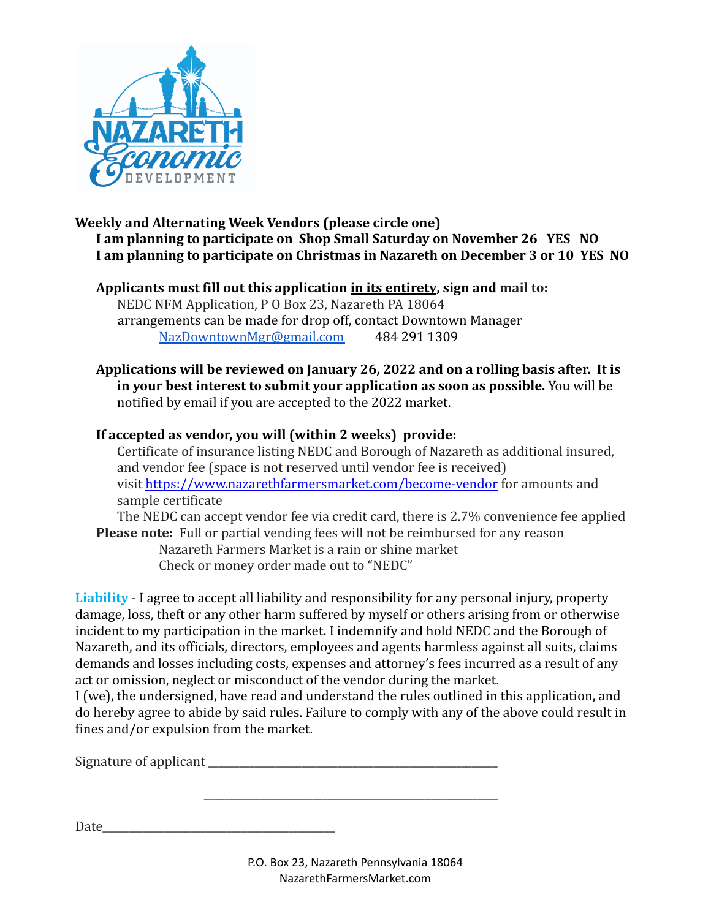

#### **Weekly and Alternating Week Vendors (please circle one) I am planning to participate on Shop Small Saturday on November 26 YES NO I am planning to participate on Christmas in Nazareth on December 3 or 10 YES NO**

# **Applicants must fill out this application in its entirety, sign and mail to:**

NEDC NFM Application, P O Box 23, Nazareth PA 18064 arrangements can be made for drop off, contact Downtown Manager [NazDowntownMgr@gmail.com](mailto:NazDowntownMgr@gmail.com) 484 291 1309

## **Applications will be reviewed on January 26, 2022 and on a rolling basis after. It is in your best interest to submit your application as soon as possible.** You will be notified by email if you are accepted to the 2022 market.

# **If accepted as vendor, you will (within 2 weeks) provide:**

Certificate of insurance listing NEDC and Borough of Nazareth as additional insured, and vendor fee (space is not reserved until vendor fee is received) visit <https://www.nazarethfarmersmarket.com/become-vendor> for amounts and sample certificate

The NEDC can accept vendor fee via credit card, there is 2.7% convenience fee applied **Please note:** Full or partial vending fees will not be reimbursed for any reason Nazareth Farmers Market is a rain or shine market

Check or money order made out to "NEDC"

**Liability** - I agree to accept all liability and responsibility for any personal injury, property damage, loss, theft or any other harm suffered by myself or others arising from or otherwise incident to my participation in the market. I indemnify and hold NEDC and the Borough of Nazareth, and its officials, directors, employees and agents harmless against all suits, claims demands and losses including costs, expenses and attorney's fees incurred as a result of any act or omission, neglect or misconduct of the vendor during the market.

I (we), the undersigned, have read and understand the rules outlined in this application, and do hereby agree to abide by said rules. Failure to comply with any of the above could result in fines and/or expulsion from the market.

\_\_\_\_\_\_\_\_\_\_\_\_\_\_\_\_\_\_\_\_\_\_\_\_\_\_\_\_\_\_\_\_\_\_\_\_\_\_\_\_\_\_\_\_\_\_\_\_\_\_\_\_\_\_\_\_\_

Signature of applicant the state of  $\mathcal{L}$ 

Date\_\_\_\_\_\_\_\_\_\_\_\_\_\_\_\_\_\_\_\_\_\_\_\_\_\_\_\_\_\_\_\_\_\_\_\_\_\_\_\_\_\_\_\_\_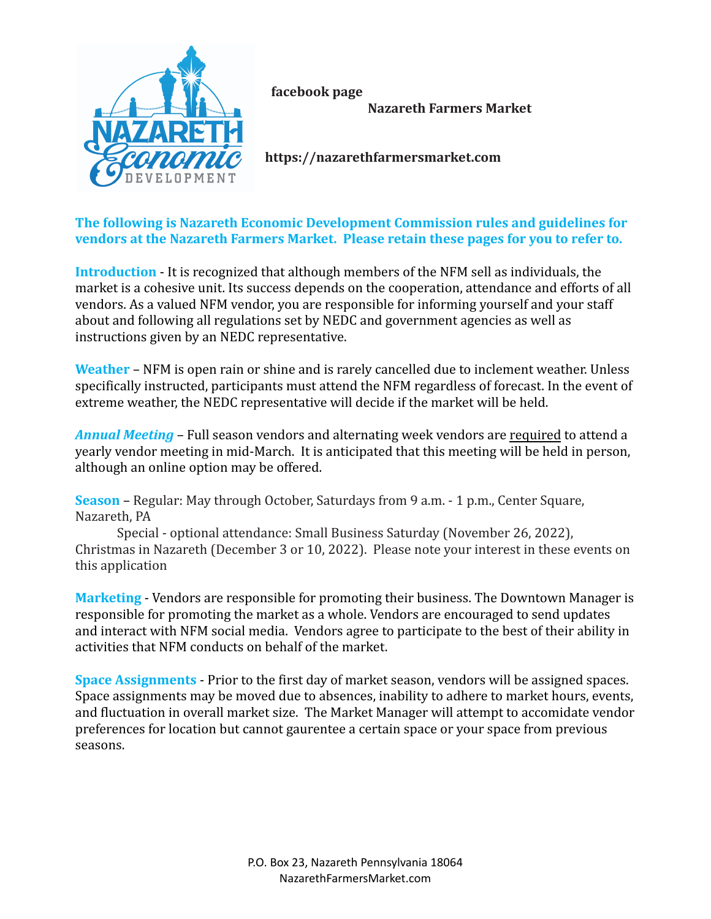

**facebook page**

**Nazareth Farmers Market**

**https://nazarethfarmersmarket.com**

**The following is Nazareth Economic Development Commission rules and guidelines for vendors at the Nazareth Farmers Market. Please retain these pages for you to refer to.**

**Introduction** - It is recognized that although members of the NFM sell as individuals, the market is a cohesive unit. Its success depends on the cooperation, attendance and efforts of all vendors. As a valued NFM vendor, you are responsible for informing yourself and your staff about and following all regulations set by NEDC and government agencies as well as instructions given by an NEDC representative.

**Weather** – NFM is open rain or shine and is rarely cancelled due to inclement weather. Unless specifically instructed, participants must attend the NFM regardless of forecast. In the event of extreme weather, the NEDC representative will decide if the market will be held.

*Annual Meeting –* Full season vendors and alternating week vendors are required to attend a yearly vendor meeting in mid-March. It is anticipated that this meeting will be held in person, although an online option may be offered.

**Season** – Regular: May through October, Saturdays from 9 a.m. - 1 p.m., Center Square, Nazareth, PA

Special - optional attendance: Small Business Saturday (November 26, 2022), Christmas in Nazareth (December 3 or 10, 2022). Please note your interest in these events on this application

**Marketing** - Vendors are responsible for promoting their business. The Downtown Manager is responsible for promoting the market as a whole. Vendors are encouraged to send updates and interact with NFM social media. Vendors agree to participate to the best of their ability in activities that NFM conducts on behalf of the market.

**Space Assignments** - Prior to the first day of market season, vendors will be assigned spaces. Space assignments may be moved due to absences, inability to adhere to market hours, events, and fluctuation in overall market size. The Market Manager will attempt to accomidate vendor preferences for location but cannot gaurentee a certain space or your space from previous seasons.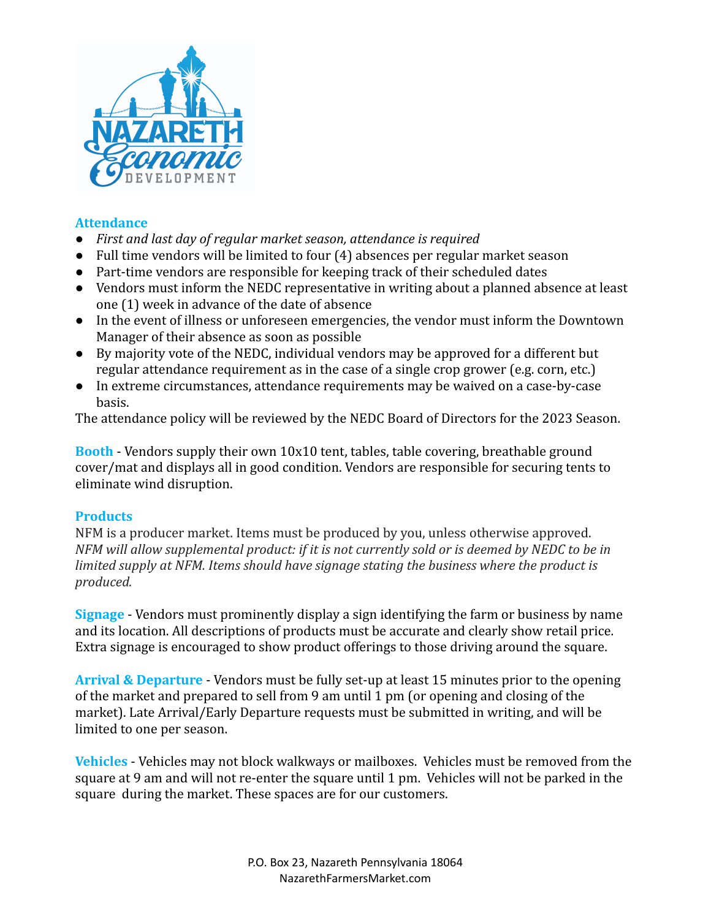

#### **Attendance**

- *First and last day of regular market season, attendance is required*
- Full time vendors will be limited to four (4) absences per regular market season
- Part-time vendors are responsible for keeping track of their scheduled dates
- Vendors must inform the NEDC representative in writing about a planned absence at least one (1) week in advance of the date of absence
- In the event of illness or unforeseen emergencies, the vendor must inform the Downtown Manager of their absence as soon as possible
- By majority vote of the NEDC, individual vendors may be approved for a different but regular attendance requirement as in the case of a single crop grower (e.g. corn, etc.)
- In extreme circumstances, attendance requirements may be waived on a case-by-case basis.

The attendance policy will be reviewed by the NEDC Board of Directors for the 2023 Season.

**Booth** - Vendors supply their own 10x10 tent, tables, table covering, breathable ground cover/mat and displays all in good condition. Vendors are responsible for securing tents to eliminate wind disruption.

## **Products**

NFM is a producer market. Items must be produced by you, unless otherwise approved. *NFM will allow supplemental product: if it is not currently sold or is deemed by NEDC to be in limited supply at NFM. Items should have signage stating the business where the product is produced.*

**Signage** - Vendors must prominently display a sign identifying the farm or business by name and its location. All descriptions of products must be accurate and clearly show retail price. Extra signage is encouraged to show product offerings to those driving around the square.

**Arrival & Departure** - Vendors must be fully set-up at least 15 minutes prior to the opening of the market and prepared to sell from 9 am until 1 pm (or opening and closing of the market). Late Arrival/Early Departure requests must be submitted in writing, and will be limited to one per season.

**Vehicles** - Vehicles may not block walkways or mailboxes. Vehicles must be removed from the square at 9 am and will not re-enter the square until 1 pm. Vehicles will not be parked in the square during the market. These spaces are for our customers.